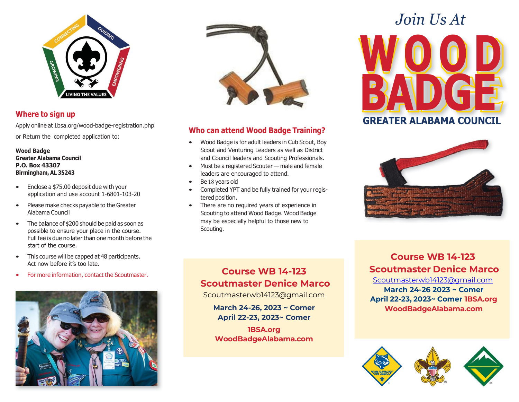

#### **Where to sign up**

Apply online at 1bsa.org/wood-badge-registration.php

or Return the completed application to:

**Wood Badge Greater Alabama Council P.O. Box 43307 Birmingham, AL 35243**

- Enclose a \$75.00 deposit due with your application and use account 1-6801-103-20
- Please make checks payable to the Greater Alabama Council
- The balance of \$200 should be paid as soon as possible to ensure your place in the course. Full fee is due no later than one month before the start of the course.
- This course will be capped at 48 participants. Act now before it's too late.
- For more information, contact the Scoutmaster.





#### **Who can attend Wood Badge Training?**

- Wood Badge is for adult leaders in Cub Scout, Boy Scout and Venturing Leaders as well as District and Council leaders and Scouting Professionals.
- Must be a registered Scouter male and female leaders are encouraged to attend.
- Be 18 years old
- Completed YPT and be fully trained for your registered position.
- There are no required years of experience in Scouting to attend Wood Badge. Wood Badge may be especially helpful to those new to Scouting.

## **WO O D BADGE GREATER ALABAMA COUNCIL** *Join Us At*



#### **Course WB 14-123 Scoutmaster Denice Marco**

Scoutmasterwb14123@gmail.com

**March 24-26, 2023 ~ Comer April 22-23, 2023~ Comer**

**1BSA.org WoodBadgeAlabama.com**

#### **Course WB 14-123 Scoutmaster Denice Marco**

[Scoutmasterwb14123@gmail.com](mailto:Scoutmasterwb14123@gmail.com) **March 24-26 2023 ~ Comer April 22-23, 2023~ Comer 1BSA.org WoodBadgeAlabama.com**